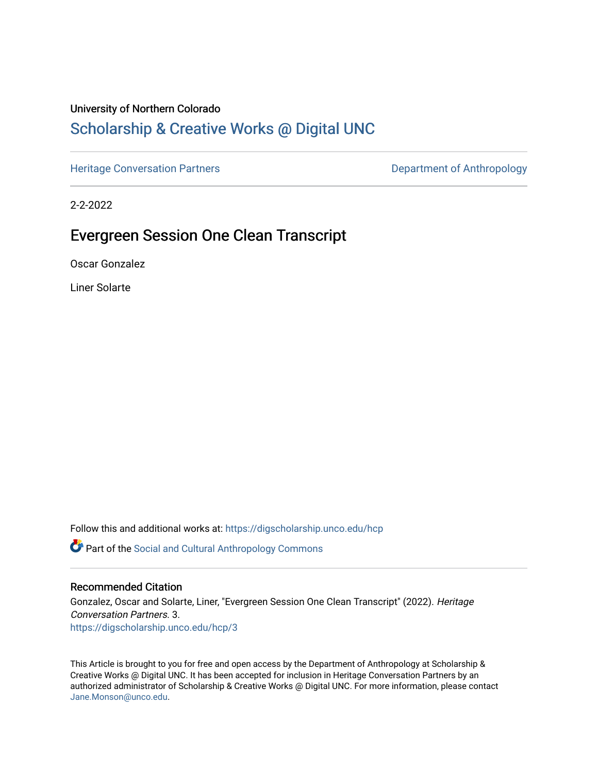### University of Northern Colorado

# [Scholarship & Creative Works @ Digital UNC](https://digscholarship.unco.edu/)

[Heritage Conversation Partners](https://digscholarship.unco.edu/hcp) **Department of Anthropology** 

2-2-2022

# Evergreen Session One Clean Transcript

Oscar Gonzalez

Liner Solarte

Follow this and additional works at: [https://digscholarship.unco.edu/hcp](https://digscholarship.unco.edu/hcp?utm_source=digscholarship.unco.edu%2Fhcp%2F3&utm_medium=PDF&utm_campaign=PDFCoverPages) 

Part of the [Social and Cultural Anthropology Commons](http://network.bepress.com/hgg/discipline/323?utm_source=digscholarship.unco.edu%2Fhcp%2F3&utm_medium=PDF&utm_campaign=PDFCoverPages) 

#### Recommended Citation

Gonzalez, Oscar and Solarte, Liner, "Evergreen Session One Clean Transcript" (2022). Heritage Conversation Partners. 3. [https://digscholarship.unco.edu/hcp/3](https://digscholarship.unco.edu/hcp/3?utm_source=digscholarship.unco.edu%2Fhcp%2F3&utm_medium=PDF&utm_campaign=PDFCoverPages)

This Article is brought to you for free and open access by the Department of Anthropology at Scholarship & Creative Works @ Digital UNC. It has been accepted for inclusion in Heritage Conversation Partners by an authorized administrator of Scholarship & Creative Works @ Digital UNC. For more information, please contact [Jane.Monson@unco.edu.](mailto:Jane.Monson@unco.edu)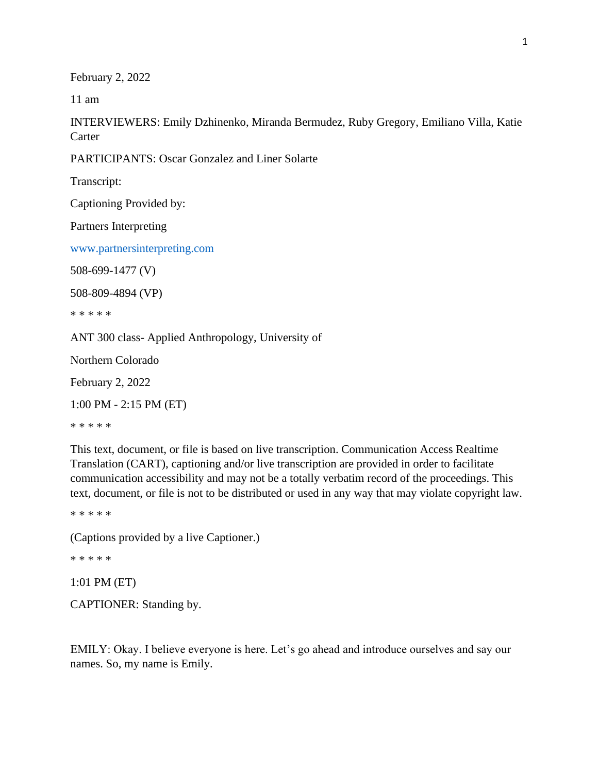February 2, 2022

11 am

INTERVIEWERS: Emily Dzhinenko, Miranda Bermudez, Ruby Gregory, Emiliano Villa, Katie **Carter** 

PARTICIPANTS: Oscar Gonzalez and Liner Solarte

Transcript:

Captioning Provided by:

Partners Interpreting

www.partnersinterpreting.com

508-699-1477 (V)

508-809-4894 (VP)

\* \* \* \* \*

ANT 300 class- Applied Anthropology, University of

Northern Colorado

February 2, 2022

1:00 PM - 2:15 PM (ET)

\* \* \* \* \*

This text, document, or file is based on live transcription. Communication Access Realtime Translation (CART), captioning and/or live transcription are provided in order to facilitate communication accessibility and may not be a totally verbatim record of the proceedings. This text, document, or file is not to be distributed or used in any way that may violate copyright law.

\* \* \* \* \*

(Captions provided by a live Captioner.)

\* \* \* \* \*

1:01 PM (ET)

CAPTIONER: Standing by.

EMILY: Okay. I believe everyone is here. Let's go ahead and introduce ourselves and say our names. So, my name is Emily.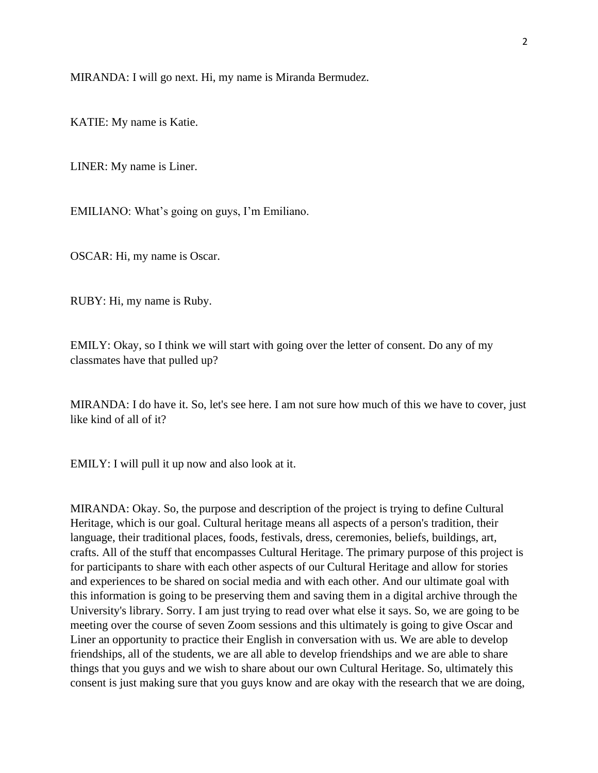MIRANDA: I will go next. Hi, my name is Miranda Bermudez.

KATIE: My name is Katie.

LINER: My name is Liner.

EMILIANO: What's going on guys, I'm Emiliano.

OSCAR: Hi, my name is Oscar.

RUBY: Hi, my name is Ruby.

EMILY: Okay, so I think we will start with going over the letter of consent. Do any of my classmates have that pulled up?

MIRANDA: I do have it. So, let's see here. I am not sure how much of this we have to cover, just like kind of all of it?

EMILY: I will pull it up now and also look at it.

MIRANDA: Okay. So, the purpose and description of the project is trying to define Cultural Heritage, which is our goal. Cultural heritage means all aspects of a person's tradition, their language, their traditional places, foods, festivals, dress, ceremonies, beliefs, buildings, art, crafts. All of the stuff that encompasses Cultural Heritage. The primary purpose of this project is for participants to share with each other aspects of our Cultural Heritage and allow for stories and experiences to be shared on social media and with each other. And our ultimate goal with this information is going to be preserving them and saving them in a digital archive through the University's library. Sorry. I am just trying to read over what else it says. So, we are going to be meeting over the course of seven Zoom sessions and this ultimately is going to give Oscar and Liner an opportunity to practice their English in conversation with us. We are able to develop friendships, all of the students, we are all able to develop friendships and we are able to share things that you guys and we wish to share about our own Cultural Heritage. So, ultimately this consent is just making sure that you guys know and are okay with the research that we are doing,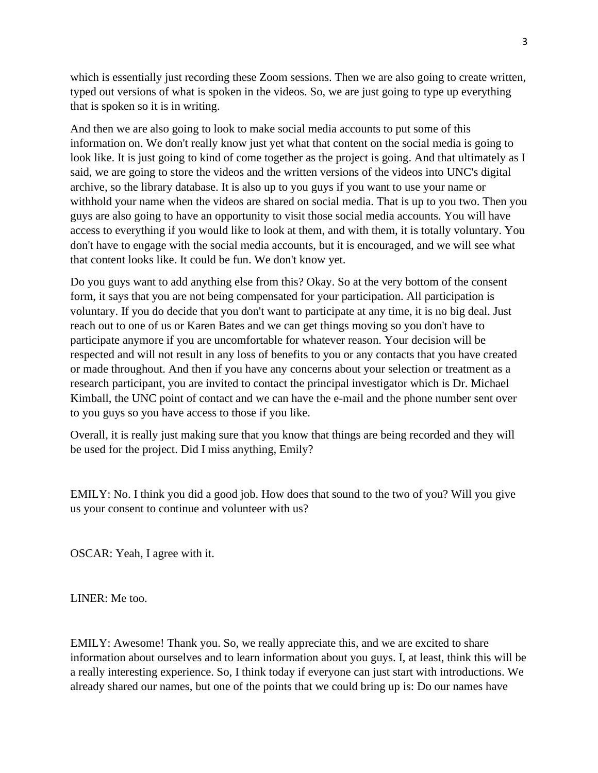which is essentially just recording these Zoom sessions. Then we are also going to create written, typed out versions of what is spoken in the videos. So, we are just going to type up everything that is spoken so it is in writing.

And then we are also going to look to make social media accounts to put some of this information on. We don't really know just yet what that content on the social media is going to look like. It is just going to kind of come together as the project is going. And that ultimately as I said, we are going to store the videos and the written versions of the videos into UNC's digital archive, so the library database. It is also up to you guys if you want to use your name or withhold your name when the videos are shared on social media. That is up to you two. Then you guys are also going to have an opportunity to visit those social media accounts. You will have access to everything if you would like to look at them, and with them, it is totally voluntary. You don't have to engage with the social media accounts, but it is encouraged, and we will see what that content looks like. It could be fun. We don't know yet.

Do you guys want to add anything else from this? Okay. So at the very bottom of the consent form, it says that you are not being compensated for your participation. All participation is voluntary. If you do decide that you don't want to participate at any time, it is no big deal. Just reach out to one of us or Karen Bates and we can get things moving so you don't have to participate anymore if you are uncomfortable for whatever reason. Your decision will be respected and will not result in any loss of benefits to you or any contacts that you have created or made throughout. And then if you have any concerns about your selection or treatment as a research participant, you are invited to contact the principal investigator which is Dr. Michael Kimball, the UNC point of contact and we can have the e-mail and the phone number sent over to you guys so you have access to those if you like.

Overall, it is really just making sure that you know that things are being recorded and they will be used for the project. Did I miss anything, Emily?

EMILY: No. I think you did a good job. How does that sound to the two of you? Will you give us your consent to continue and volunteer with us?

OSCAR: Yeah, I agree with it.

LINER: Me too.

EMILY: Awesome! Thank you. So, we really appreciate this, and we are excited to share information about ourselves and to learn information about you guys. I, at least, think this will be a really interesting experience. So, I think today if everyone can just start with introductions. We already shared our names, but one of the points that we could bring up is: Do our names have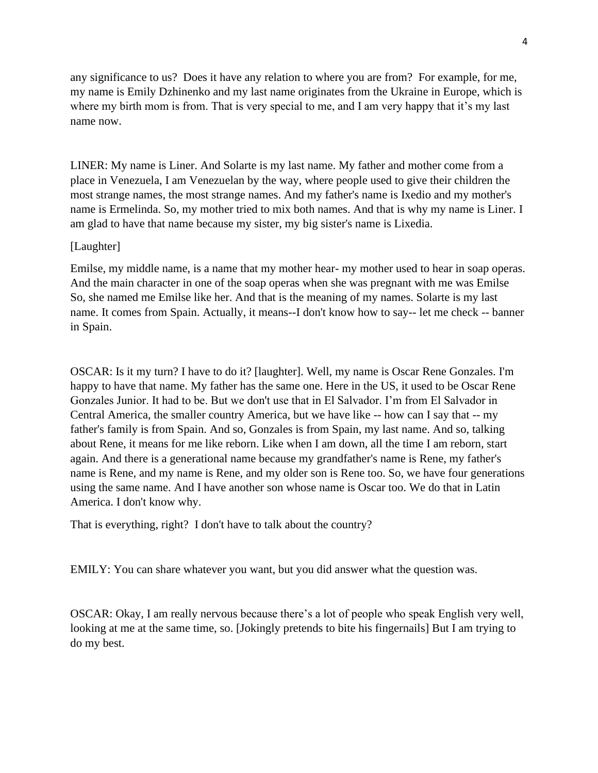any significance to us? Does it have any relation to where you are from? For example, for me, my name is Emily Dzhinenko and my last name originates from the Ukraine in Europe, which is where my birth mom is from. That is very special to me, and I am very happy that it's my last name now.

LINER: My name is Liner. And Solarte is my last name. My father and mother come from a place in Venezuela, I am Venezuelan by the way, where people used to give their children the most strange names, the most strange names. And my father's name is Ixedio and my mother's name is Ermelinda. So, my mother tried to mix both names. And that is why my name is Liner. I am glad to have that name because my sister, my big sister's name is Lixedia.

#### [Laughter]

Emilse, my middle name, is a name that my mother hear- my mother used to hear in soap operas. And the main character in one of the soap operas when she was pregnant with me was Emilse So, she named me Emilse like her. And that is the meaning of my names. Solarte is my last name. It comes from Spain. Actually, it means--I don't know how to say-- let me check -- banner in Spain.

OSCAR: Is it my turn? I have to do it? [laughter]. Well, my name is Oscar Rene Gonzales. I'm happy to have that name. My father has the same one. Here in the US, it used to be Oscar Rene Gonzales Junior. It had to be. But we don't use that in El Salvador. I'm from El Salvador in Central America, the smaller country America, but we have like -- how can I say that -- my father's family is from Spain. And so, Gonzales is from Spain, my last name. And so, talking about Rene, it means for me like reborn. Like when I am down, all the time I am reborn, start again. And there is a generational name because my grandfather's name is Rene, my father's name is Rene, and my name is Rene, and my older son is Rene too. So, we have four generations using the same name. And I have another son whose name is Oscar too. We do that in Latin America. I don't know why.

That is everything, right? I don't have to talk about the country?

EMILY: You can share whatever you want, but you did answer what the question was.

OSCAR: Okay, I am really nervous because there's a lot of people who speak English very well, looking at me at the same time, so. [Jokingly pretends to bite his fingernails] But I am trying to do my best.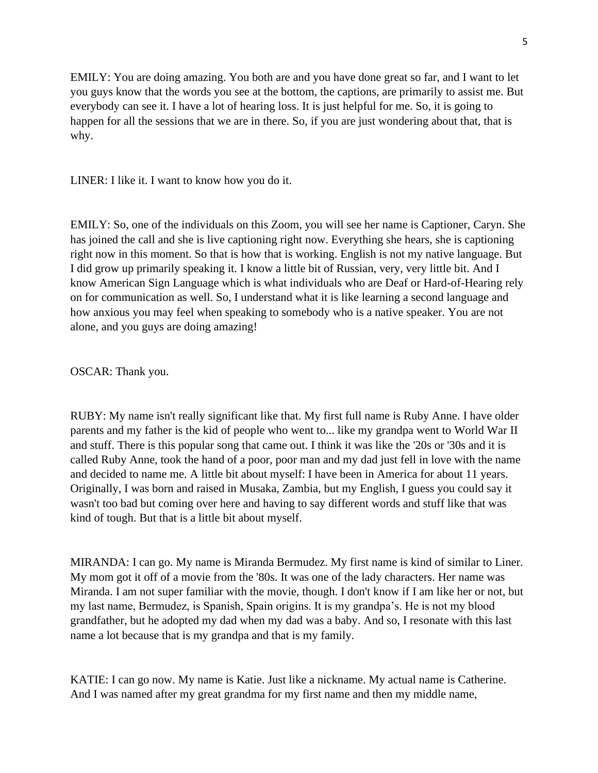EMILY: You are doing amazing. You both are and you have done great so far, and I want to let you guys know that the words you see at the bottom, the captions, are primarily to assist me. But everybody can see it. I have a lot of hearing loss. It is just helpful for me. So, it is going to happen for all the sessions that we are in there. So, if you are just wondering about that, that is why.

LINER: I like it. I want to know how you do it.

EMILY: So, one of the individuals on this Zoom, you will see her name is Captioner, Caryn. She has joined the call and she is live captioning right now. Everything she hears, she is captioning right now in this moment. So that is how that is working. English is not my native language. But I did grow up primarily speaking it. I know a little bit of Russian, very, very little bit. And I know American Sign Language which is what individuals who are Deaf or Hard-of-Hearing rely on for communication as well. So, I understand what it is like learning a second language and how anxious you may feel when speaking to somebody who is a native speaker. You are not alone, and you guys are doing amazing!

OSCAR: Thank you.

RUBY: My name isn't really significant like that. My first full name is Ruby Anne. I have older parents and my father is the kid of people who went to... like my grandpa went to World War II and stuff. There is this popular song that came out. I think it was like the '20s or '30s and it is called Ruby Anne, took the hand of a poor, poor man and my dad just fell in love with the name and decided to name me. A little bit about myself: I have been in America for about 11 years. Originally, I was born and raised in Musaka, Zambia, but my English, I guess you could say it wasn't too bad but coming over here and having to say different words and stuff like that was kind of tough. But that is a little bit about myself.

MIRANDA: I can go. My name is Miranda Bermudez. My first name is kind of similar to Liner. My mom got it off of a movie from the '80s. It was one of the lady characters. Her name was Miranda. I am not super familiar with the movie, though. I don't know if I am like her or not, but my last name, Bermudez, is Spanish, Spain origins. It is my grandpa's. He is not my blood grandfather, but he adopted my dad when my dad was a baby. And so, I resonate with this last name a lot because that is my grandpa and that is my family.

KATIE: I can go now. My name is Katie. Just like a nickname. My actual name is Catherine. And I was named after my great grandma for my first name and then my middle name,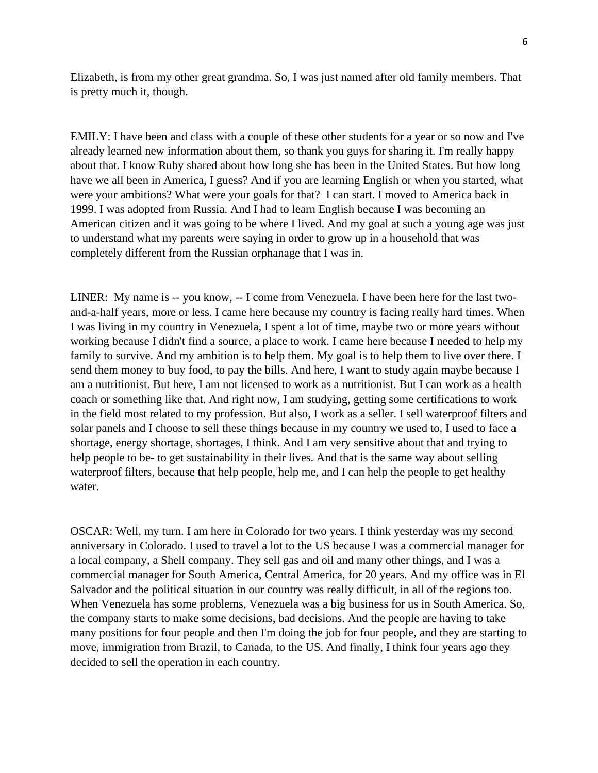Elizabeth, is from my other great grandma. So, I was just named after old family members. That is pretty much it, though.

EMILY: I have been and class with a couple of these other students for a year or so now and I've already learned new information about them, so thank you guys for sharing it. I'm really happy about that. I know Ruby shared about how long she has been in the United States. But how long have we all been in America, I guess? And if you are learning English or when you started, what were your ambitions? What were your goals for that? I can start. I moved to America back in 1999. I was adopted from Russia. And I had to learn English because I was becoming an American citizen and it was going to be where I lived. And my goal at such a young age was just to understand what my parents were saying in order to grow up in a household that was completely different from the Russian orphanage that I was in.

LINER: My name is -- you know, -- I come from Venezuela. I have been here for the last twoand-a-half years, more or less. I came here because my country is facing really hard times. When I was living in my country in Venezuela, I spent a lot of time, maybe two or more years without working because I didn't find a source, a place to work. I came here because I needed to help my family to survive. And my ambition is to help them. My goal is to help them to live over there. I send them money to buy food, to pay the bills. And here, I want to study again maybe because I am a nutritionist. But here, I am not licensed to work as a nutritionist. But I can work as a health coach or something like that. And right now, I am studying, getting some certifications to work in the field most related to my profession. But also, I work as a seller. I sell waterproof filters and solar panels and I choose to sell these things because in my country we used to, I used to face a shortage, energy shortage, shortages, I think. And I am very sensitive about that and trying to help people to be- to get sustainability in their lives. And that is the same way about selling waterproof filters, because that help people, help me, and I can help the people to get healthy water.

OSCAR: Well, my turn. I am here in Colorado for two years. I think yesterday was my second anniversary in Colorado. I used to travel a lot to the US because I was a commercial manager for a local company, a Shell company. They sell gas and oil and many other things, and I was a commercial manager for South America, Central America, for 20 years. And my office was in El Salvador and the political situation in our country was really difficult, in all of the regions too. When Venezuela has some problems, Venezuela was a big business for us in South America. So, the company starts to make some decisions, bad decisions. And the people are having to take many positions for four people and then I'm doing the job for four people, and they are starting to move, immigration from Brazil, to Canada, to the US. And finally, I think four years ago they decided to sell the operation in each country.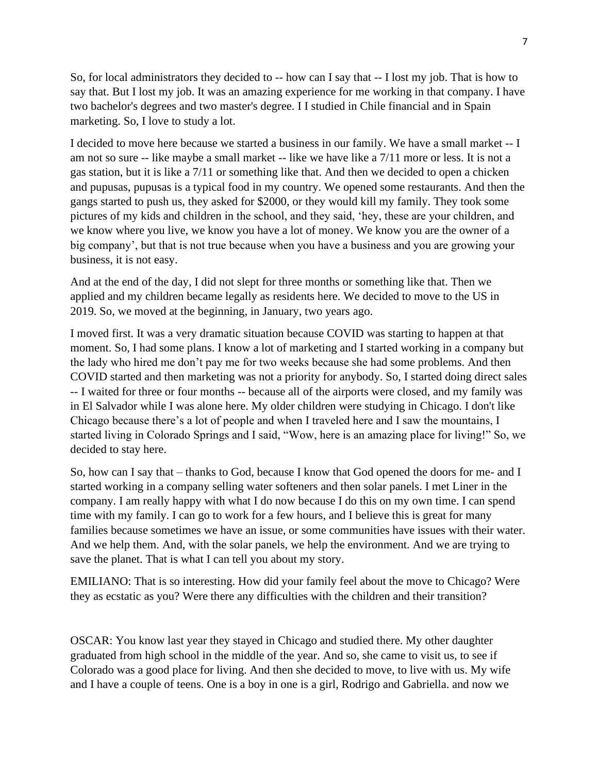So, for local administrators they decided to -- how can I say that -- I lost my job. That is how to say that. But I lost my job. It was an amazing experience for me working in that company. I have two bachelor's degrees and two master's degree. I I studied in Chile financial and in Spain marketing. So, I love to study a lot.

I decided to move here because we started a business in our family. We have a small market -- I am not so sure -- like maybe a small market -- like we have like a 7/11 more or less. It is not a gas station, but it is like a 7/11 or something like that. And then we decided to open a chicken and pupusas, pupusas is a typical food in my country. We opened some restaurants. And then the gangs started to push us, they asked for \$2000, or they would kill my family. They took some pictures of my kids and children in the school, and they said, 'hey, these are your children, and we know where you live, we know you have a lot of money. We know you are the owner of a big company', but that is not true because when you have a business and you are growing your business, it is not easy.

And at the end of the day, I did not slept for three months or something like that. Then we applied and my children became legally as residents here. We decided to move to the US in 2019. So, we moved at the beginning, in January, two years ago.

I moved first. It was a very dramatic situation because COVID was starting to happen at that moment. So, I had some plans. I know a lot of marketing and I started working in a company but the lady who hired me don't pay me for two weeks because she had some problems. And then COVID started and then marketing was not a priority for anybody. So, I started doing direct sales -- I waited for three or four months -- because all of the airports were closed, and my family was in El Salvador while I was alone here. My older children were studying in Chicago. I don't like Chicago because there's a lot of people and when I traveled here and I saw the mountains, I started living in Colorado Springs and I said, "Wow, here is an amazing place for living!" So, we decided to stay here.

So, how can I say that – thanks to God, because I know that God opened the doors for me- and I started working in a company selling water softeners and then solar panels. I met Liner in the company. I am really happy with what I do now because I do this on my own time. I can spend time with my family. I can go to work for a few hours, and I believe this is great for many families because sometimes we have an issue, or some communities have issues with their water. And we help them. And, with the solar panels, we help the environment. And we are trying to save the planet. That is what I can tell you about my story.

EMILIANO: That is so interesting. How did your family feel about the move to Chicago? Were they as ecstatic as you? Were there any difficulties with the children and their transition?

OSCAR: You know last year they stayed in Chicago and studied there. My other daughter graduated from high school in the middle of the year. And so, she came to visit us, to see if Colorado was a good place for living. And then she decided to move, to live with us. My wife and I have a couple of teens. One is a boy in one is a girl, Rodrigo and Gabriella. and now we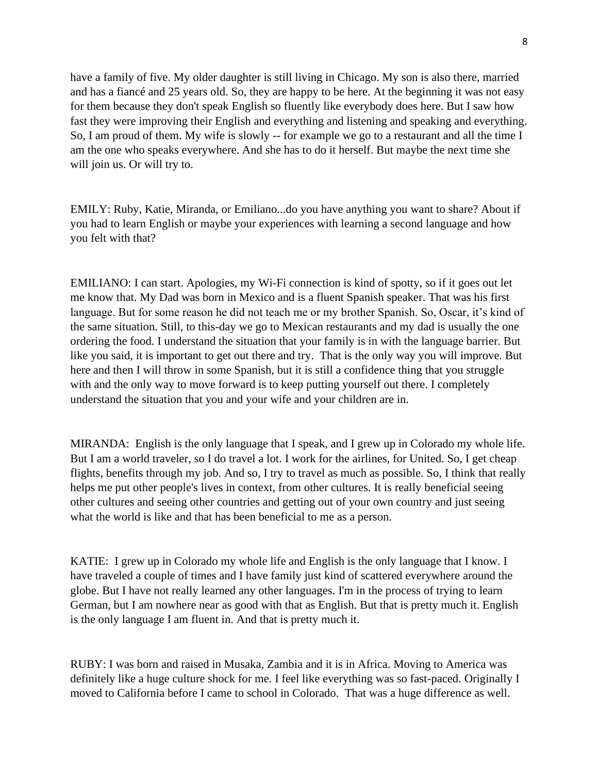have a family of five. My older daughter is still living in Chicago. My son is also there, married and has a fiancé and 25 years old. So, they are happy to be here. At the beginning it was not easy for them because they don't speak English so fluently like everybody does here. But I saw how fast they were improving their English and everything and listening and speaking and everything. So, I am proud of them. My wife is slowly -- for example we go to a restaurant and all the time I am the one who speaks everywhere. And she has to do it herself. But maybe the next time she will join us. Or will try to.

EMILY: Ruby, Katie, Miranda, or Emiliano...do you have anything you want to share? About if you had to learn English or maybe your experiences with learning a second language and how you felt with that?

EMILIANO: I can start. Apologies, my Wi-Fi connection is kind of spotty, so if it goes out let me know that. My Dad was born in Mexico and is a fluent Spanish speaker. That was his first language. But for some reason he did not teach me or my brother Spanish. So, Oscar, it's kind of the same situation. Still, to this-day we go to Mexican restaurants and my dad is usually the one ordering the food. I understand the situation that your family is in with the language barrier. But like you said, it is important to get out there and try. That is the only way you will improve. But here and then I will throw in some Spanish, but it is still a confidence thing that you struggle with and the only way to move forward is to keep putting yourself out there. I completely understand the situation that you and your wife and your children are in.

MIRANDA: English is the only language that I speak, and I grew up in Colorado my whole life. But I am a world traveler, so I do travel a lot. I work for the airlines, for United. So, I get cheap flights, benefits through my job. And so, I try to travel as much as possible. So, I think that really helps me put other people's lives in context, from other cultures. It is really beneficial seeing other cultures and seeing other countries and getting out of your own country and just seeing what the world is like and that has been beneficial to me as a person.

KATIE: I grew up in Colorado my whole life and English is the only language that I know. I have traveled a couple of times and I have family just kind of scattered everywhere around the globe. But I have not really learned any other languages. I'm in the process of trying to learn German, but I am nowhere near as good with that as English. But that is pretty much it. English is the only language I am fluent in. And that is pretty much it.

RUBY: I was born and raised in Musaka, Zambia and it is in Africa. Moving to America was definitely like a huge culture shock for me. I feel like everything was so fast-paced. Originally I moved to California before I came to school in Colorado. That was a huge difference as well.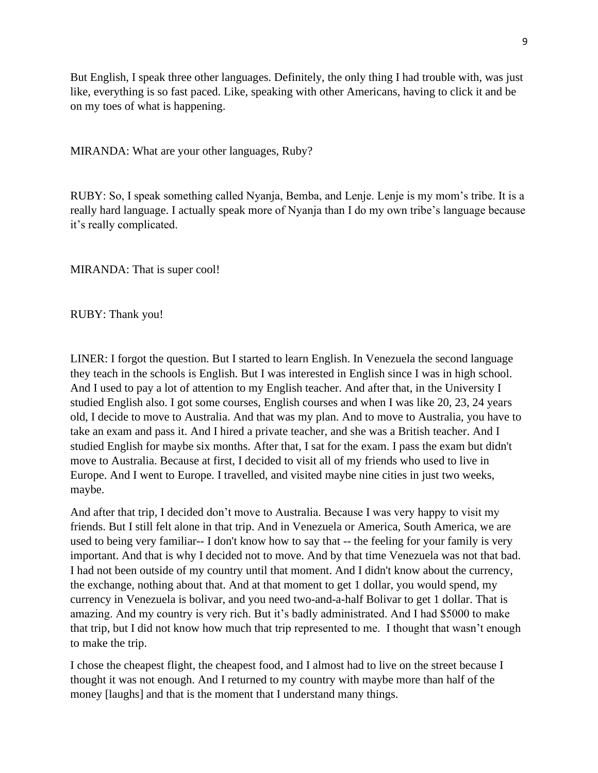But English, I speak three other languages. Definitely, the only thing I had trouble with, was just like, everything is so fast paced. Like, speaking with other Americans, having to click it and be on my toes of what is happening.

MIRANDA: What are your other languages, Ruby?

RUBY: So, I speak something called Nyanja, Bemba, and Lenje. Lenje is my mom's tribe. It is a really hard language. I actually speak more of Nyanja than I do my own tribe's language because it's really complicated.

MIRANDA: That is super cool!

RUBY: Thank you!

LINER: I forgot the question. But I started to learn English. In Venezuela the second language they teach in the schools is English. But I was interested in English since I was in high school. And I used to pay a lot of attention to my English teacher. And after that, in the University I studied English also. I got some courses, English courses and when I was like 20, 23, 24 years old, I decide to move to Australia. And that was my plan. And to move to Australia, you have to take an exam and pass it. And I hired a private teacher, and she was a British teacher. And I studied English for maybe six months. After that, I sat for the exam. I pass the exam but didn't move to Australia. Because at first, I decided to visit all of my friends who used to live in Europe. And I went to Europe. I travelled, and visited maybe nine cities in just two weeks, maybe.

And after that trip, I decided don't move to Australia. Because I was very happy to visit my friends. But I still felt alone in that trip. And in Venezuela or America, South America, we are used to being very familiar-- I don't know how to say that -- the feeling for your family is very important. And that is why I decided not to move. And by that time Venezuela was not that bad. I had not been outside of my country until that moment. And I didn't know about the currency, the exchange, nothing about that. And at that moment to get 1 dollar, you would spend, my currency in Venezuela is bolivar, and you need two-and-a-half Bolivar to get 1 dollar. That is amazing. And my country is very rich. But it's badly administrated. And I had \$5000 to make that trip, but I did not know how much that trip represented to me. I thought that wasn't enough to make the trip.

I chose the cheapest flight, the cheapest food, and I almost had to live on the street because I thought it was not enough. And I returned to my country with maybe more than half of the money [laughs] and that is the moment that I understand many things.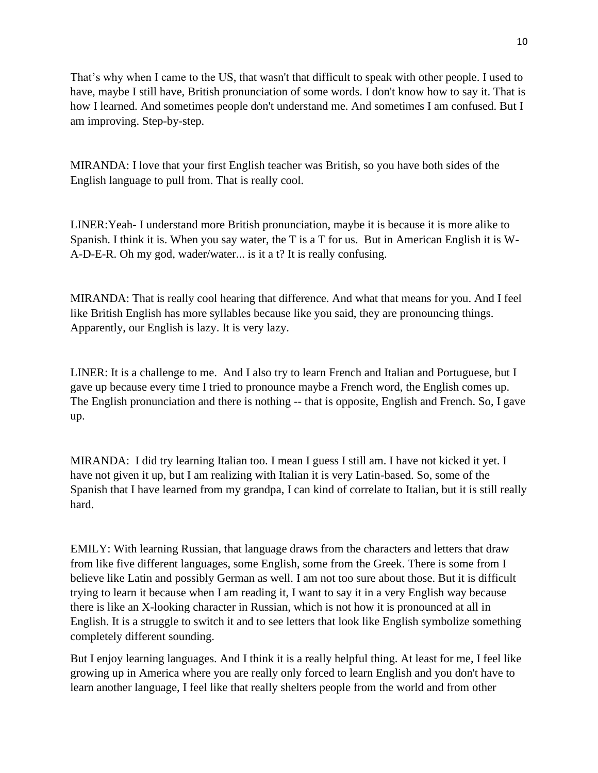That's why when I came to the US, that wasn't that difficult to speak with other people. I used to have, maybe I still have, British pronunciation of some words. I don't know how to say it. That is how I learned. And sometimes people don't understand me. And sometimes I am confused. But I am improving. Step-by-step.

MIRANDA: I love that your first English teacher was British, so you have both sides of the English language to pull from. That is really cool.

LINER:Yeah- I understand more British pronunciation, maybe it is because it is more alike to Spanish. I think it is. When you say water, the T is a T for us. But in American English it is W-A-D-E-R. Oh my god, wader/water... is it a t? It is really confusing.

MIRANDA: That is really cool hearing that difference. And what that means for you. And I feel like British English has more syllables because like you said, they are pronouncing things. Apparently, our English is lazy. It is very lazy.

LINER: It is a challenge to me. And I also try to learn French and Italian and Portuguese, but I gave up because every time I tried to pronounce maybe a French word, the English comes up. The English pronunciation and there is nothing -- that is opposite, English and French. So, I gave up.

MIRANDA: I did try learning Italian too. I mean I guess I still am. I have not kicked it yet. I have not given it up, but I am realizing with Italian it is very Latin-based. So, some of the Spanish that I have learned from my grandpa, I can kind of correlate to Italian, but it is still really hard.

EMILY: With learning Russian, that language draws from the characters and letters that draw from like five different languages, some English, some from the Greek. There is some from I believe like Latin and possibly German as well. I am not too sure about those. But it is difficult trying to learn it because when I am reading it, I want to say it in a very English way because there is like an X-looking character in Russian, which is not how it is pronounced at all in English. It is a struggle to switch it and to see letters that look like English symbolize something completely different sounding.

But I enjoy learning languages. And I think it is a really helpful thing. At least for me, I feel like growing up in America where you are really only forced to learn English and you don't have to learn another language, I feel like that really shelters people from the world and from other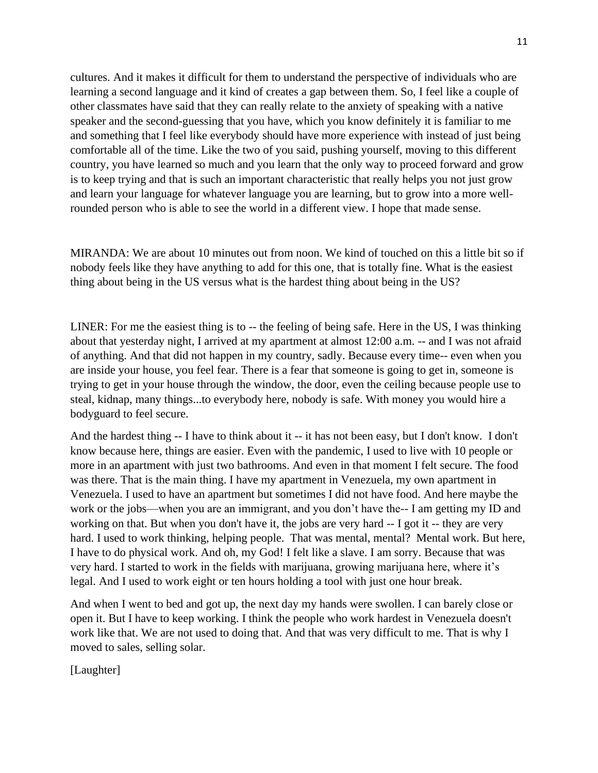cultures. And it makes it difficult for them to understand the perspective of individuals who are learning a second language and it kind of creates a gap between them. So, I feel like a couple of other classmates have said that they can really relate to the anxiety of speaking with a native speaker and the second-guessing that you have, which you know definitely it is familiar to me and something that I feel like everybody should have more experience with instead of just being comfortable all of the time. Like the two of you said, pushing yourself, moving to this different country, you have learned so much and you learn that the only way to proceed forward and grow is to keep trying and that is such an important characteristic that really helps you not just grow and learn your language for whatever language you are learning, but to grow into a more wellrounded person who is able to see the world in a different view. I hope that made sense.

MIRANDA: We are about 10 minutes out from noon. We kind of touched on this a little bit so if nobody feels like they have anything to add for this one, that is totally fine. What is the easiest thing about being in the US versus what is the hardest thing about being in the US?

LINER: For me the easiest thing is to -- the feeling of being safe. Here in the US, I was thinking about that yesterday night, I arrived at my apartment at almost 12:00 a.m. -- and I was not afraid of anything. And that did not happen in my country, sadly. Because every time-- even when you are inside your house, you feel fear. There is a fear that someone is going to get in, someone is trying to get in your house through the window, the door, even the ceiling because people use to steal, kidnap, many things...to everybody here, nobody is safe. With money you would hire a bodyguard to feel secure.

And the hardest thing -- I have to think about it -- it has not been easy, but I don't know. I don't know because here, things are easier. Even with the pandemic, I used to live with 10 people or more in an apartment with just two bathrooms. And even in that moment I felt secure. The food was there. That is the main thing. I have my apartment in Venezuela, my own apartment in Venezuela. I used to have an apartment but sometimes I did not have food. And here maybe the work or the jobs—when you are an immigrant, and you don't have the-- I am getting my ID and working on that. But when you don't have it, the jobs are very hard -- I got it -- they are very hard. I used to work thinking, helping people. That was mental, mental? Mental work. But here, I have to do physical work. And oh, my God! I felt like a slave. I am sorry. Because that was very hard. I started to work in the fields with marijuana, growing marijuana here, where it's legal. And I used to work eight or ten hours holding a tool with just one hour break.

And when I went to bed and got up, the next day my hands were swollen. I can barely close or open it. But I have to keep working. I think the people who work hardest in Venezuela doesn't work like that. We are not used to doing that. And that was very difficult to me. That is why I moved to sales, selling solar.

[Laughter]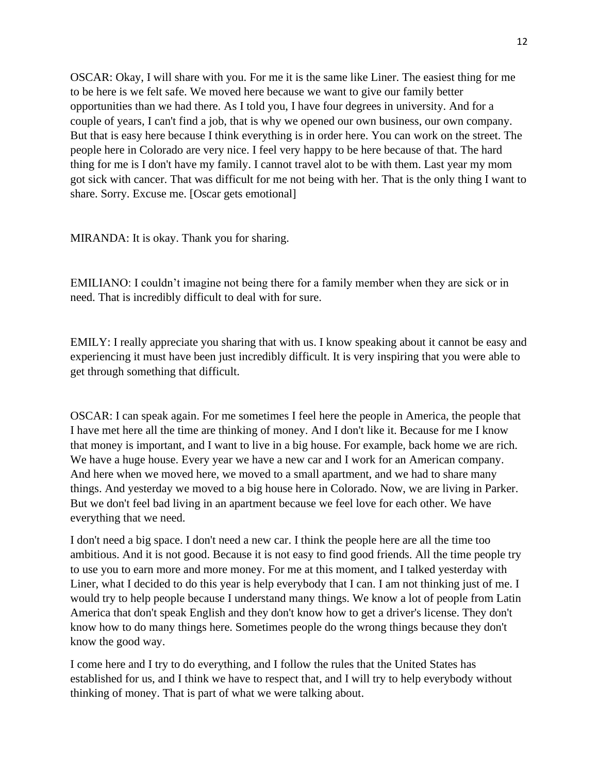OSCAR: Okay, I will share with you. For me it is the same like Liner. The easiest thing for me to be here is we felt safe. We moved here because we want to give our family better opportunities than we had there. As I told you, I have four degrees in university. And for a couple of years, I can't find a job, that is why we opened our own business, our own company. But that is easy here because I think everything is in order here. You can work on the street. The people here in Colorado are very nice. I feel very happy to be here because of that. The hard thing for me is I don't have my family. I cannot travel alot to be with them. Last year my mom got sick with cancer. That was difficult for me not being with her. That is the only thing I want to share. Sorry. Excuse me. [Oscar gets emotional]

MIRANDA: It is okay. Thank you for sharing.

EMILIANO: I couldn't imagine not being there for a family member when they are sick or in need. That is incredibly difficult to deal with for sure.

EMILY: I really appreciate you sharing that with us. I know speaking about it cannot be easy and experiencing it must have been just incredibly difficult. It is very inspiring that you were able to get through something that difficult.

OSCAR: I can speak again. For me sometimes I feel here the people in America, the people that I have met here all the time are thinking of money. And I don't like it. Because for me I know that money is important, and I want to live in a big house. For example, back home we are rich. We have a huge house. Every year we have a new car and I work for an American company. And here when we moved here, we moved to a small apartment, and we had to share many things. And yesterday we moved to a big house here in Colorado. Now, we are living in Parker. But we don't feel bad living in an apartment because we feel love for each other. We have everything that we need.

I don't need a big space. I don't need a new car. I think the people here are all the time too ambitious. And it is not good. Because it is not easy to find good friends. All the time people try to use you to earn more and more money. For me at this moment, and I talked yesterday with Liner, what I decided to do this year is help everybody that I can. I am not thinking just of me. I would try to help people because I understand many things. We know a lot of people from Latin America that don't speak English and they don't know how to get a driver's license. They don't know how to do many things here. Sometimes people do the wrong things because they don't know the good way.

I come here and I try to do everything, and I follow the rules that the United States has established for us, and I think we have to respect that, and I will try to help everybody without thinking of money. That is part of what we were talking about.